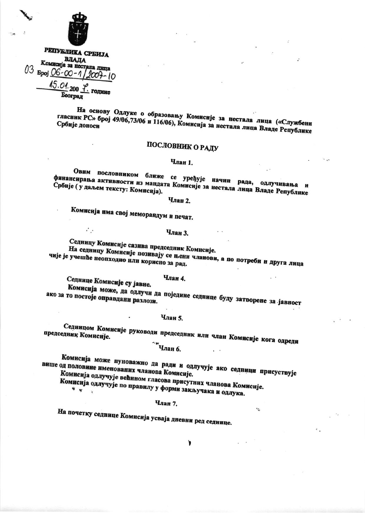

РЕПУБЛИКА СРБИЈА ВЛАДА Комисија за нестала лица 03  $\frac{5}{900}$  O6-00-1/2007-10 15.01.200 ГОДИНС Београд

На основу Одлуке о образовању Комисије за нестала лица («Службени гласник РС» број 49/06,73/06 и 116/06), Комисија за нестала лица Владе Републике

# ПОСЛОВНИК О РАДУ

# Члан 1.

Овим пословником ближе се уређује начин рада, одлучивања и финансирања активности из мандата Комисије за нестала лица Владе Републике

# **Члан 2.**

Комисија има свој меморандум и печат.

# Члан 3.

 $\mathcal{L}_{\mathcal{A}}$  .

Седницу Комисије сазива председник Комисије. На седницу Комисије позивају се њени чланови, а по потреби и друга лица чије је учешће неопходно или корисно за рад.

 $\sim$ 

Члан 4.

Седнице Комисије су јавне.

Комисија може, да одлучи да поједине седнице буду затворене за јавност ако за то постоје оправдани разлози.

# Члан 5.

Седницом Комисије руководи председник или члан Комисије кога одреди председник Комисије.

Члан б.

Комисија може пуноважно да ради и одлучује ако седници присуствује више од половине именованих чланова Комисије. Комисија одлучује већином гласова присутних чланова Комисије.

,

 $\tau_{\rm th}$ 

Комисија одлучује по правилу у форми закључака и одлука.

# Члан 7.

На почетку седнице Комисија усваја дневни ред седнице.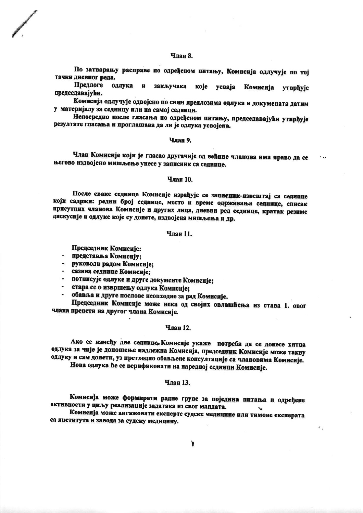## Члан Я.

По затварању расправе по одређеном питању, Комисија одлучује по тој тачки дневног рела.

Предлоге одлука и закључака које усваја Комисија **утврђује** председаваі ући.

Комисија одлучује одвојено по свим предлозима одлука и докумената датим у материјалу за седницу или на самој седници.

Непосредно после гласања по одређеном питању, председавајући утврђује резултате гласања и проглашава да ли је одлука усвојена.

#### Члан 9.

Члан Комисије који је гласао другачије од већине чланова има право да се његово издвојено мишљење унесе у записник са седнице.

## Члян 10.

После сваке седнице Комисије израђује се записник-извештај са седнице који садржи: редни број седнице, место и време одржавања седнице, списак присутних чланова Комисије и других лица, дневни ред сединце, кратак резиме дискусије и одлуке које су донете, издвојена мишљења и др.

## Члян 11.

Председник Комисије:

- представља Комисију;
- руководи радом Комисије:
- сазива седнице Комисије;
- потписује одлуке и друге документе Комисије;
- стара се о извршењу одлука Комисије;
- обавља и друге послове неопходне за рад Комисије.

Председник Комисије може нека од својих овлашћења из става 1. овог члана пренети на другог члана Комисије.

## Члан 12.

Ако се између две седнице, Комисије укаже потреба да се донесе хитна одлука за чије је доношење надлежна Комисија, председник Комисије може такву одлуку и сам донети, уз претходно обављене консултације са члановима Комисије.

Нова одлука ће се верификовати на наредној седници Комисије.

# Члан 13.

Комисија може формирати радне групе за поједина питања и одређене активности у циљу реализације задатака из свог мандата.

Комисија може ангажовати експерте судске медицине или тимове експерата са янститута и завода за судску медицину.